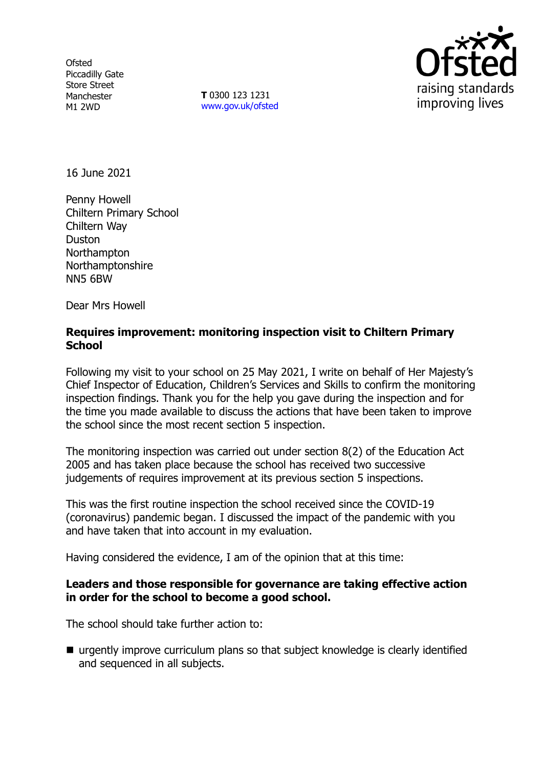**Ofsted** Piccadilly Gate Store Street Manchester M1 2WD

**T** 0300 123 1231 [www.gov.uk/ofsted](http://www.gov.uk/ofsted)



16 June 2021

Penny Howell Chiltern Primary School Chiltern Way Duston Northampton Northamptonshire NN5 6BW

Dear Mrs Howell

## **Requires improvement: monitoring inspection visit to Chiltern Primary School**

Following my visit to your school on 25 May 2021, I write on behalf of Her Majesty's Chief Inspector of Education, Children's Services and Skills to confirm the monitoring inspection findings. Thank you for the help you gave during the inspection and for the time you made available to discuss the actions that have been taken to improve the school since the most recent section 5 inspection.

The monitoring inspection was carried out under section 8(2) of the Education Act 2005 and has taken place because the school has received two successive judgements of requires improvement at its previous section 5 inspections.

This was the first routine inspection the school received since the COVID-19 (coronavirus) pandemic began. I discussed the impact of the pandemic with you and have taken that into account in my evaluation.

Having considered the evidence, I am of the opinion that at this time:

### **Leaders and those responsible for governance are taking effective action in order for the school to become a good school.**

The school should take further action to:

 urgently improve curriculum plans so that subject knowledge is clearly identified and sequenced in all subjects.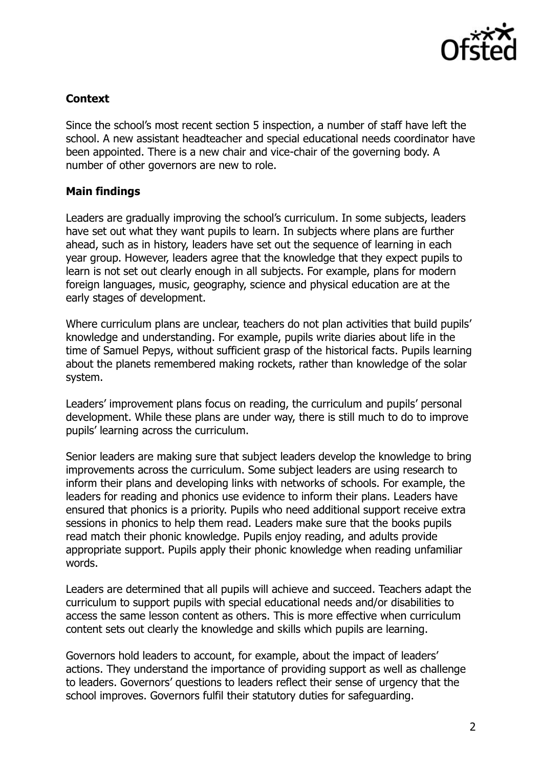

# **Context**

Since the school's most recent section 5 inspection, a number of staff have left the school. A new assistant headteacher and special educational needs coordinator have been appointed. There is a new chair and vice-chair of the governing body. A number of other governors are new to role.

# **Main findings**

Leaders are gradually improving the school's curriculum. In some subjects, leaders have set out what they want pupils to learn. In subjects where plans are further ahead, such as in history, leaders have set out the sequence of learning in each year group. However, leaders agree that the knowledge that they expect pupils to learn is not set out clearly enough in all subjects. For example, plans for modern foreign languages, music, geography, science and physical education are at the early stages of development.

Where curriculum plans are unclear, teachers do not plan activities that build pupils' knowledge and understanding. For example, pupils write diaries about life in the time of Samuel Pepys, without sufficient grasp of the historical facts. Pupils learning about the planets remembered making rockets, rather than knowledge of the solar system.

Leaders' improvement plans focus on reading, the curriculum and pupils' personal development. While these plans are under way, there is still much to do to improve pupils' learning across the curriculum.

Senior leaders are making sure that subject leaders develop the knowledge to bring improvements across the curriculum. Some subject leaders are using research to inform their plans and developing links with networks of schools. For example, the leaders for reading and phonics use evidence to inform their plans. Leaders have ensured that phonics is a priority. Pupils who need additional support receive extra sessions in phonics to help them read. Leaders make sure that the books pupils read match their phonic knowledge. Pupils enjoy reading, and adults provide appropriate support. Pupils apply their phonic knowledge when reading unfamiliar words.

Leaders are determined that all pupils will achieve and succeed. Teachers adapt the curriculum to support pupils with special educational needs and/or disabilities to access the same lesson content as others. This is more effective when curriculum content sets out clearly the knowledge and skills which pupils are learning.

Governors hold leaders to account, for example, about the impact of leaders' actions. They understand the importance of providing support as well as challenge to leaders. Governors' questions to leaders reflect their sense of urgency that the school improves. Governors fulfil their statutory duties for safeguarding.